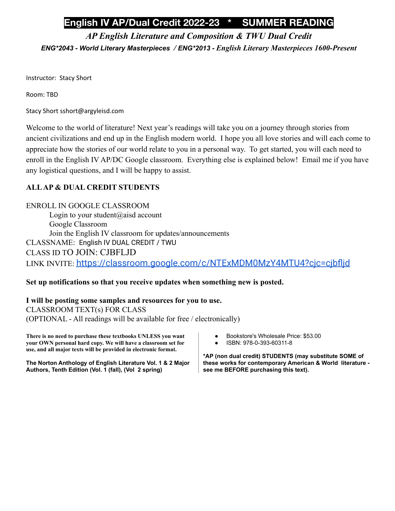# **English IV AP/Dual Credit 2022-23 \* SUMMER READING**

# *AP English Literature and Composition & TWU Dual Credit*

*ENG\*2043 - World Literary Masterpieces / ENG\*2013 - English Literary Masterpieces 1600-Present*

Instructor: Stacy Short

Room: TBD

Stacy Short sshort@argyleisd.com

Welcome to the world of literature! Next year's readings will take you on a journey through stories from ancient civilizations and end up in the English modern world. I hope you all love stories and will each come to appreciate how the stories of our world relate to you in a personal way. To get started, you will each need to enroll in the English IV AP/DC Google classroom. Everything else is explained below! Email me if you have any logistical questions, and I will be happy to assist.

## **ALLAP & DUAL CREDIT STUDENTS**

ENROLL IN GOOGLE CLASSROOM Login to your student@aisd account Google Classroom Join the English IV classroom for updates/announcements CLASSNAME: English IV DUAL CREDIT / TWU CLASS ID TO JOIN: CJBFLJD LINK INVITE: <https://classroom.google.com/c/NTExMDM0MzY4MTU4?cjc=cjbfljd>

## **Set up notifications so that you receive updates when something new is posted.**

## **I will be posting some samples and resources for you to use.**

CLASSROOM TEXT(s) FOR CLASS (OPTIONAL - All readings will be available for free / electronically)

**There is no need to purchase these textbooks UNLESS you want your OWN personal hard copy. We will have a classroom set for use, and all major texts will be provided in electronic format.**

**The Norton Anthology of English Literature Vol. 1 & 2 Major Authors, Tenth Edition (Vol. 1 (fall), (Vol 2 spring)**

- Bookstore's Wholesale Price: \$53.00
- ISBN: 978-0-393-60311-8

**\*AP (non dual credit) STUDENTS (may substitute SOME of these works for contemporary American & World literature see me BEFORE purchasing this text).**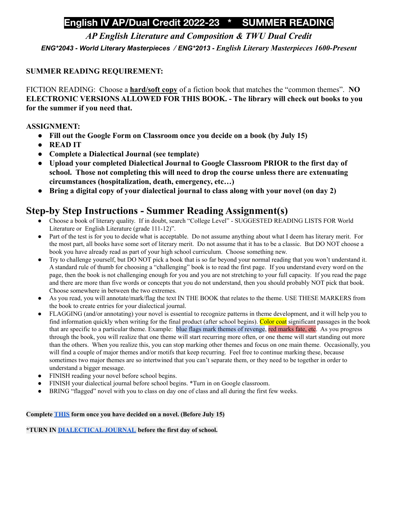# **English IV AP/Dual Credit 2022-23 \* SUMMER READING**

*AP English Literature and Composition & TWU Dual Credit*

*ENG\*2043 - World Literary Masterpieces / ENG\*2013 - English Literary Masterpieces 1600-Present*

## **SUMMER READING REQUIREMENT:**

FICTION READING: Choose a **hard/soft copy** of a fiction book that matches the "common themes". **NO ELECTRONIC VERSIONS ALLOWED FOR THIS BOOK. - The library will check out books to you for the summer if you need that.**

## **ASSIGNMENT:**

- **● Fill out the Google Form on Classroom once you decide on a book (by July 15)**
- **● READ IT**
- **● Complete a Dialectical Journal (see template)**
- **● Upload your completed Dialectical Journal to Google Classroom PRIOR to the first day of school. Those not completing this will need to drop the course unless there are extenuating circumstances (hospitalization, death, emergency, etc…)**
- **● Bring a digital copy of your dialectical journal to class along with your novel (on day 2)**

# **Step-by Step Instructions - Summer Reading Assignment(s)**

- Choose a book of literary quality. If in doubt, search "College Level" SUGGESTED READING LISTS FOR World Literature or English Literature (grade 111-12)".
- Part of the test is for you to decide what is acceptable. Do not assume anything about what I deem has literary merit. For the most part, all books have some sort of literary merit. Do not assume that it has to be a classic. But DO NOT choose a book you have already read as part of your high school curriculum. Choose something new.
- Try to challenge yourself, but DO NOT pick a book that is so far beyond your normal reading that you won't understand it. A standard rule of thumb for choosing a "challenging" book is to read the first page. If you understand every word on the page, then the book is not challenging enough for you and you are not stretching to your full capacity. If you read the page and there are more than five words or concepts that you do not understand, then you should probably NOT pick that book. Choose somewhere in between the two extremes.
- As you read, you will annotate/mark/flag the text IN THE BOOK that relates to the theme. USE THESE MARKERS from the book to create entries for your dialectical journal.
- FLAGGING (and/or annotating) your novel is essential to recognize patterns in theme development, and it will help you to find information quickly when writing for the final product (after school begins). Color coat significant passages in the book that are specific to a particular theme. Example: blue flags mark themes of revenge, red marks fate, etc. As you progress through the book, you will realize that one theme will start recurring more often, or one theme will start standing out more than the others. When you realize this, you can stop marking other themes and focus on one main theme. Occasionally, you will find a couple of major themes and/or motifs that keep recurring. Feel free to continue marking these, because sometimes two major themes are so intertwined that you can't separate them, or they need to be together in order to understand a bigger message.
- FINISH reading your novel before school begins.
- FINISH your dialectical journal before school begins. \*Turn in on Google classroom.
- BRING "flagged" novel with you to class on day one of class and all during the first few weeks.

### **Complete [THIS](https://docs.google.com/forms/d/e/1FAIpQLScWZ-OHJ1ddNwcuIJnZ8vBK3_8XJ4ngQWitW5ZktMBV9oVHPA/viewform?usp=sf_link) form once you have decided on a novel. (Before July 15)**

**\*TURN IN [DIALECTICAL](https://docs.google.com/document/d/1ZaJR_alPlFI_itsn1vT9tZPXtTbhbzRGGToi3kEbxRs/edit?usp=sharing) JOURNAL before the first day of school.**